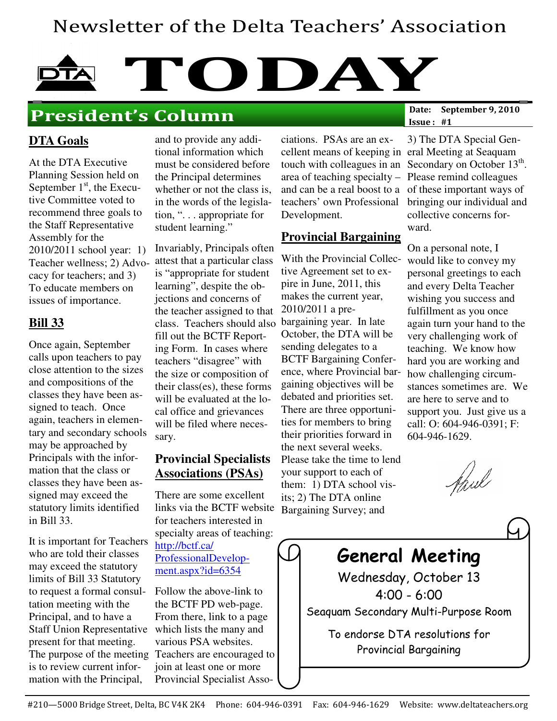## Newsletter of the Delta Teachers' Association

# TODAY<sub>Date: September 9, 2010</sub>

## President's Column

Issue : #1

#### **DTA Goals**

At the DTA Executive Planning Session held on September  $1<sup>st</sup>$ , the Executive Committee voted to recommend three goals to the Staff Representative Assembly for the 2010/2011 school year: 1) Teacher wellness; 2) Advocacy for teachers; and 3) To educate members on issues of importance.

#### **Bill 33**

Once again, September calls upon teachers to pay close attention to the sizes and compositions of the classes they have been assigned to teach. Once again, teachers in elementary and secondary schools may be approached by Principals with the information that the class or classes they have been assigned may exceed the statutory limits identified in Bill 33.

It is important for Teachers who are told their classes may exceed the statutory limits of Bill 33 Statutory to request a formal consultation meeting with the Principal, and to have a Staff Union Representative present for that meeting. The purpose of the meeting is to review current information with the Principal,

and to provide any additional information which must be considered before the Principal determines whether or not the class is, in the words of the legislation, ". . . appropriate for student learning."

Invariably, Principals often attest that a particular class is "appropriate for student learning", despite the objections and concerns of the teacher assigned to that class. Teachers should also fill out the BCTF Reporting Form. In cases where teachers "disagree" with the size or composition of their class(es), these forms will be evaluated at the local office and grievances will be filed where necessary.

#### **Provincial Specialists Associations (PSAs)**

There are some excellent links via the BCTF website Bargaining Survey; and for teachers interested in specialty areas of teaching: http://bctf.ca/ ProfessionalDevelopment.aspx?id=6354

Follow the above-link to the BCTF PD web-page. From there, link to a page which lists the many and various PSA websites. Teachers are encouraged to join at least one or more Provincial Specialist Associations. PSAs are an excellent means of keeping in eral Meeting at Seaquam area of teaching specialty – Please remind colleagues and can be a real boost to a of these important ways of teachers' own Professional Development.

#### **Provincial Bargaining**

With the Provincial Collective Agreement set to expire in June, 2011, this makes the current year, 2010/2011 a prebargaining year. In late October, the DTA will be sending delegates to a BCTF Bargaining Conference, where Provincial bargaining objectives will be debated and priorities set. There are three opportunities for members to bring their priorities forward in the next several weeks. Please take the time to lend your support to each of them: 1) DTA school visits; 2) The DTA online

touch with colleagues in an Secondary on October  $13<sup>th</sup>$ . 3) The DTA Special Genbringing our individual and collective concerns forward.

> On a personal note, I would like to convey my personal greetings to each and every Delta Teacher wishing you success and fulfillment as you once again turn your hand to the very challenging work of teaching. We know how hard you are working and how challenging circumstances sometimes are. We are here to serve and to support you. Just give us a call: O: 604-946-0391; F: 604-946-1629.

faul

|  | <b>General Meeting</b>                                         |  |
|--|----------------------------------------------------------------|--|
|  | Wednesday, October 13                                          |  |
|  | $4:00 - 6:00$                                                  |  |
|  | Seaquam Secondary Multi-Purpose Room                           |  |
|  | To endorse DTA resolutions for<br><b>Provincial Bargaining</b> |  |
|  |                                                                |  |